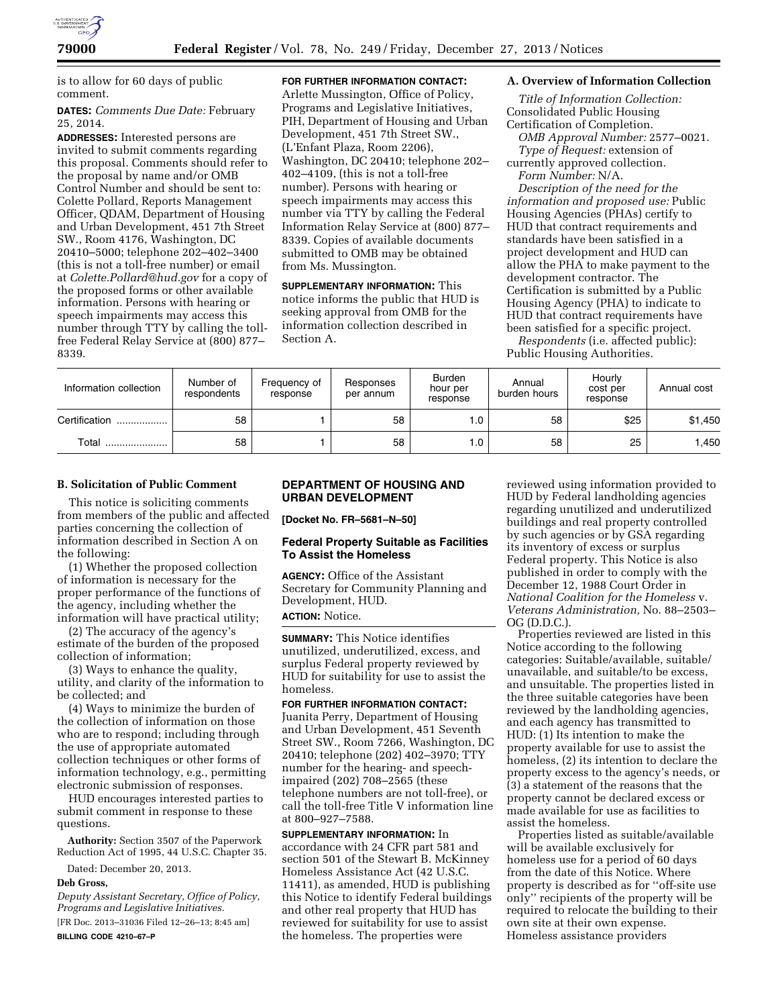

is to allow for 60 days of public comment.

## **DATES:** *Comments Due Date:* February 25, 2014*.*

**ADDRESSES:** Interested persons are invited to submit comments regarding this proposal. Comments should refer to the proposal by name and/or OMB Control Number and should be sent to: Colette Pollard, Reports Management Officer, QDAM, Department of Housing and Urban Development, 451 7th Street SW., Room 4176, Washington, DC 20410–5000; telephone 202–402–3400 (this is not a toll-free number) or email at *[Colette.Pollard@hud.gov](mailto:Colette.Pollard@hud.gov)* for a copy of the proposed forms or other available information. Persons with hearing or speech impairments may access this number through TTY by calling the tollfree Federal Relay Service at (800) 877– 8339.

## **FOR FURTHER INFORMATION CONTACT:**

Arlette Mussington, Office of Policy, Programs and Legislative Initiatives, PIH, Department of Housing and Urban Development, 451 7th Street SW., (L'Enfant Plaza, Room 2206), Washington, DC 20410; telephone 202– 402–4109, (this is not a toll-free number). Persons with hearing or speech impairments may access this number via TTY by calling the Federal Information Relay Service at (800) 877– 8339. Copies of available documents submitted to OMB may be obtained from Ms. Mussington.

**SUPPLEMENTARY INFORMATION:** This notice informs the public that HUD is seeking approval from OMB for the information collection described in Section A.

#### **A. Overview of Information Collection**

*Title of Information Collection:*  Consolidated Public Housing Certification of Completion.

*OMB Approval Number:* 2577–0021. *Type of Request:* extension of currently approved collection. *Form Number:* N/A.

*Description of the need for the information and proposed use:* Public Housing Agencies (PHAs) certify to HUD that contract requirements and standards have been satisfied in a project development and HUD can allow the PHA to make payment to the development contractor. The Certification is submitted by a Public Housing Agency (PHA) to indicate to HUD that contract requirements have been satisfied for a specific project.

*Respondents* (i.e. affected public): Public Housing Authorities.

| Information collection | Number of<br>respondents | Frequency of<br>response | Responses<br>per annum | <b>Burden</b><br>hour per<br>response | Annual<br>burden hours | Hourly<br>cost per<br>response | Annual cost |
|------------------------|--------------------------|--------------------------|------------------------|---------------------------------------|------------------------|--------------------------------|-------------|
| Certification<br>.     | 58                       |                          | 58                     |                                       | 58                     | \$25                           | \$1,450     |
| Total<br>              | 58                       |                          | 58                     | . 0                                   | 58                     | 25                             | .450        |

## **B. Solicitation of Public Comment**

This notice is soliciting comments from members of the public and affected parties concerning the collection of information described in Section A on the following:

(1) Whether the proposed collection of information is necessary for the proper performance of the functions of the agency, including whether the information will have practical utility;

(2) The accuracy of the agency's estimate of the burden of the proposed collection of information;

(3) Ways to enhance the quality, utility, and clarity of the information to be collected; and

(4) Ways to minimize the burden of the collection of information on those who are to respond; including through the use of appropriate automated collection techniques or other forms of information technology, e.g., permitting electronic submission of responses.

HUD encourages interested parties to submit comment in response to these questions.

**Authority:** Section 3507 of the Paperwork Reduction Act of 1995, 44 U.S.C. Chapter 35.

Dated: December 20, 2013.

#### **Deb Gross,**

*Deputy Assistant Secretary, Office of Policy, Programs and Legislative Initiatives.*  [FR Doc. 2013–31036 Filed 12–26–13; 8:45 am] **BILLING CODE 4210–67–P** 

## **DEPARTMENT OF HOUSING AND URBAN DEVELOPMENT**

**[Docket No. FR–5681–N–50]** 

#### **Federal Property Suitable as Facilities To Assist the Homeless**

**AGENCY:** Office of the Assistant Secretary for Community Planning and Development, HUD.

**ACTION:** Notice.

**SUMMARY:** This Notice identifies unutilized, underutilized, excess, and surplus Federal property reviewed by HUD for suitability for use to assist the homeless.

**FOR FURTHER INFORMATION CONTACT:**  Juanita Perry, Department of Housing and Urban Development, 451 Seventh Street SW., Room 7266, Washington, DC 20410; telephone (202) 402–3970; TTY number for the hearing- and speechimpaired (202) 708–2565 (these telephone numbers are not toll-free), or call the toll-free Title V information line at 800–927–7588.

**SUPPLEMENTARY INFORMATION:** In accordance with 24 CFR part 581 and section 501 of the Stewart B. McKinney Homeless Assistance Act (42 U.S.C. 11411), as amended, HUD is publishing this Notice to identify Federal buildings and other real property that HUD has reviewed for suitability for use to assist the homeless. The properties were

reviewed using information provided to HUD by Federal landholding agencies regarding unutilized and underutilized buildings and real property controlled by such agencies or by GSA regarding its inventory of excess or surplus Federal property. This Notice is also published in order to comply with the December 12, 1988 Court Order in *National Coalition for the Homeless* v. *Veterans Administration,* No. 88–2503– OG (D.D.C.).

Properties reviewed are listed in this Notice according to the following categories: Suitable/available, suitable/ unavailable, and suitable/to be excess, and unsuitable. The properties listed in the three suitable categories have been reviewed by the landholding agencies, and each agency has transmitted to HUD: (1) Its intention to make the property available for use to assist the homeless, (2) its intention to declare the property excess to the agency's needs, or (3) a statement of the reasons that the property cannot be declared excess or made available for use as facilities to assist the homeless.

Properties listed as suitable/available will be available exclusively for homeless use for a period of 60 days from the date of this Notice. Where property is described as for ''off-site use only'' recipients of the property will be required to relocate the building to their own site at their own expense. Homeless assistance providers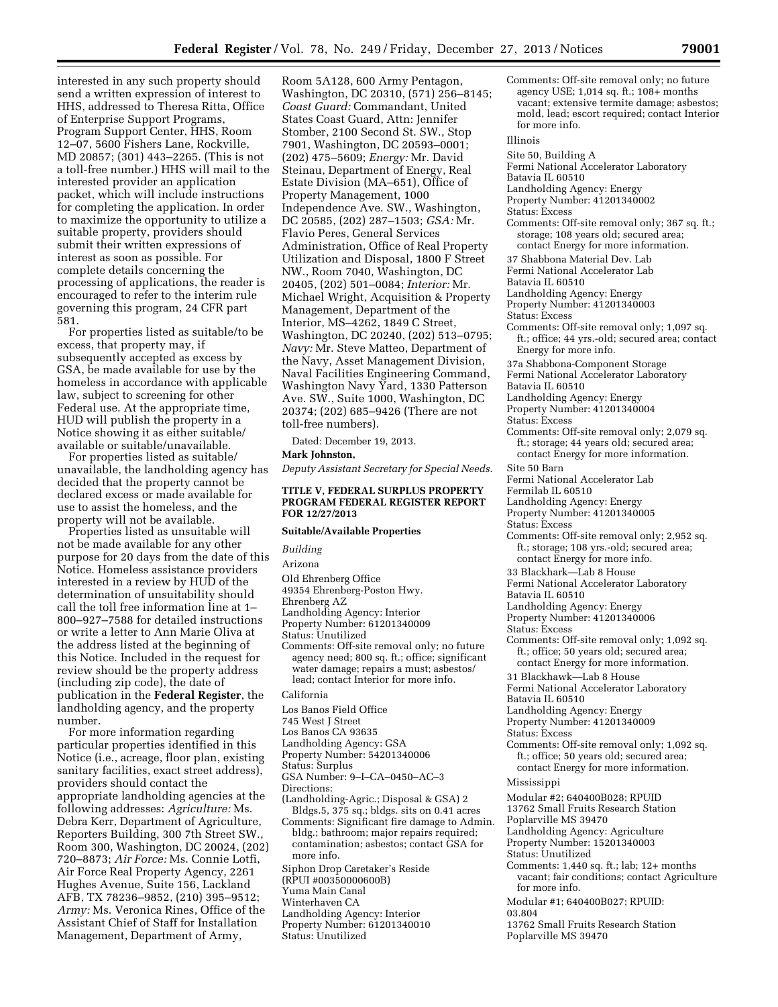interested in any such property should send a written expression of interest to HHS, addressed to Theresa Ritta, Office of Enterprise Support Programs, Program Support Center, HHS, Room 12–07, 5600 Fishers Lane, Rockville, MD 20857; (301) 443–2265. (This is not a toll-free number.) HHS will mail to the interested provider an application packet, which will include instructions for completing the application. In order to maximize the opportunity to utilize a suitable property, providers should submit their written expressions of interest as soon as possible. For complete details concerning the processing of applications, the reader is encouraged to refer to the interim rule governing this program, 24 CFR part 581.

For properties listed as suitable/to be excess, that property may, if subsequently accepted as excess by GSA, be made available for use by the homeless in accordance with applicable law, subject to screening for other Federal use. At the appropriate time, HUD will publish the property in a Notice showing it as either suitable/ available or suitable/unavailable.

For properties listed as suitable/ unavailable, the landholding agency has decided that the property cannot be declared excess or made available for use to assist the homeless, and the property will not be available.

Properties listed as unsuitable will not be made available for any other purpose for 20 days from the date of this Notice. Homeless assistance providers interested in a review by HUD of the determination of unsuitability should call the toll free information line at 1– 800–927–7588 for detailed instructions or write a letter to Ann Marie Oliva at the address listed at the beginning of this Notice. Included in the request for review should be the property address (including zip code), the date of publication in the **Federal Register**, the landholding agency, and the property number.

For more information regarding particular properties identified in this Notice (i.e., acreage, floor plan, existing sanitary facilities, exact street address), providers should contact the appropriate landholding agencies at the following addresses: *Agriculture:* Ms. Debra Kerr, Department of Agriculture, Reporters Building, 300 7th Street SW., Room 300, Washington, DC 20024, (202) 720–8873; *Air Force:* Ms. Connie Lotfi, Air Force Real Property Agency, 2261 Hughes Avenue, Suite 156, Lackland AFB, TX 78236–9852, (210) 395–9512; *Army:* Ms. Veronica Rines, Office of the Assistant Chief of Staff for Installation Management, Department of Army,

Room 5A128, 600 Army Pentagon, Washington, DC 20310, (571) 256–8145; *Coast Guard:* Commandant, United States Coast Guard, Attn: Jennifer Stomber, 2100 Second St. SW., Stop 7901, Washington, DC 20593–0001; (202) 475–5609; *Energy:* Mr. David Steinau, Department of Energy, Real Estate Division (MA–651), Office of Property Management, 1000 Independence Ave. SW., Washington, DC 20585, (202) 287–1503; *GSA:* Mr. Flavio Peres, General Services Administration, Office of Real Property Utilization and Disposal, 1800 F Street NW., Room 7040, Washington, DC 20405, (202) 501–0084; *Interior:* Mr. Michael Wright, Acquisition & Property Management, Department of the Interior, MS–4262, 1849 C Street, Washington, DC 20240, (202) 513–0795; *Navy:* Mr. Steve Matteo, Department of the Navy, Asset Management Division, Naval Facilities Engineering Command, Washington Navy Yard, 1330 Patterson Ave. SW., Suite 1000, Washington, DC 20374; (202) 685–9426 (There are not toll-free numbers).

Dated: December 19, 2013.

#### **Mark Johnston,**

*Deputy Assistant Secretary for Special Needs.* 

#### **TITLE V, FEDERAL SURPLUS PROPERTY PROGRAM FEDERAL REGISTER REPORT FOR 12/27/2013**

## **Suitable/Available Properties**

*Building* 

#### Arizona

Old Ehrenberg Office

49354 Ehrenberg-Poston Hwy.

## Ehrenberg AZ

# Landholding Agency: Interior

Property Number: 61201340009 Status: Unutilized

# Comments: Off-site removal only; no future

agency need; 800 sq. ft.; office; significant water damage; repairs a must; asbestos/ lead; contact Interior for more info.

#### California

- Los Banos Field Office
- 745 West J Street
- Los Banos CA 93635
- Landholding Agency: GSA
- Property Number: 54201340006
- Status: Surplus
- GSA Number: 9–I–CA–0450–AC–3
- Directions:
- (Landholding-Agric.; Disposal & GSA) 2 Bldgs.5, 375 sq.; bldgs. sits on 0.41 acres Comments: Significant fire damage to Admin.
- bldg.; bathroom; major repairs required; contamination; asbestos; contact GSA for more info.

Siphon Drop Caretaker's Reside

- (RPUI #00350000600B)
- Yuma Main Canal
- Winterhaven CA
- Landholding Agency: Interior
- Property Number: 61201340010
- Status: Unutilized

Comments: Off-site removal only; no future agency USE; 1,014 sq. ft.; 108+ months vacant; extensive termite damage; asbestos; mold, lead; escort required; contact Interior for more info.

#### Illinois

- Site 50, Building A
- Fermi National Accelerator Laboratory
- Batavia IL 60510
	- Landholding Agency: Energy
	- Property Number: 41201340002
- Status: Excess
- Comments: Off-site removal only; 367 sq. ft.; storage; 108 years old; secured area; contact Energy for more information.
- 37 Shabbona Material Dev. Lab
- Fermi National Accelerator Lab
- Batavia IL 60510
- Landholding Agency: Energy
- Property Number: 41201340003
- Status: Excess
- Comments: Off-site removal only; 1,097 sq. ft.; office; 44 yrs.-old; secured area; contact Energy for more info.
- 37a Shabbona-Component Storage
- Fermi National Accelerator Laboratory
- Batavia IL 60510
	- Landholding Agency: Energy
	- Property Number: 41201340004
	- Status: Excess
	- Comments: Off-site removal only; 2,079 sq. ft.; storage; 44 years old; secured area; contact Energy for more information.
	- Site 50 Barn
- Fermi National Accelerator Lab
- Fermilab IL 60510
- Landholding Agency: Energy
- Property Number: 41201340005
- Status: Excess
- Comments: Off-site removal only; 2,952 sq. ft.; storage; 108 yrs.-old; secured area; contact Energy for more info.
- 33 Blackhark—Lab 8 House
- Fermi National Accelerator Laboratory
- Batavia IL 60510
- Landholding Agency: Energy
- Property Number: 41201340006
- Status: Excess
- Comments: Off-site removal only; 1,092 sq. ft.; office; 50 years old; secured area;
- contact Energy for more information. 31 Blackhawk—Lab 8 House
- Fermi National Accelerator Laboratory
- Batavia IL 60510
- Landholding Agency: Energy
- Property Number: 41201340009
- 
- Status: Excess
- Comments: Off-site removal only; 1,092 sq. ft.; office; 50 years old; secured area; contact Energy for more information.

#### Mississippi

- Modular #2; 640400B028; RPUID
- 13762 Small Fruits Research Station
- Poplarville MS 39470
- Landholding Agency: Agriculture
- Property Number: 15201340003
- Status: Unutilized
- Comments: 1,440 sq. ft.; lab; 12+ months vacant; fair conditions; contact Agriculture for more info.
- Modular #1; 640400B027; RPUID:
- 03.804
- 13762 Small Fruits Research Station Poplarville MS 39470